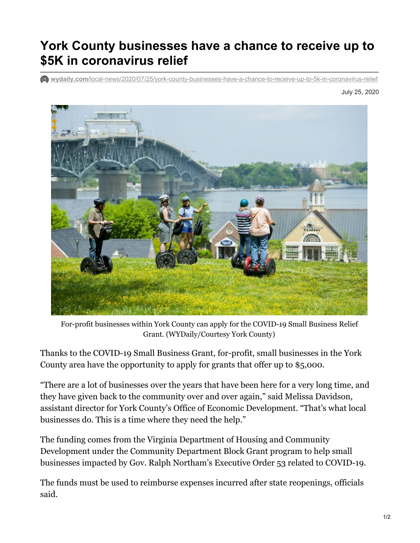## **York County businesses have a chance to receive up to \$5K in coronavirus relief**

**wydaily.com**[/local-news/2020/07/25/york-county-businesses-have-a-chance-to-receive-up-to-5k-in-coronavirus-relief](https://wydaily.com/local-news/2020/07/25/york-county-businesses-have-a-chance-to-receive-up-to-5k-in-coronavirus-relief/)

July 25, 2020



 For-profit businesses within York County can apply for the COVID-19 Small Business Relief Grant. (WYDaily/Courtesy York County)

 Thanks to the COVID-19 Small Business Grant, for-profit, small businesses in the York County area have the opportunity to apply for grants that offer up to \$5,000.

 "There are a lot of businesses over the years that have been here for a very long time, and they have given back to the community over and over again," said Melissa Davidson, assistant director for York County's Office of Economic Development. "That's what local businesses do. This is a time where they need the help."

 The funding comes from the Virginia Department of Housing and Community Development under the Community Department Block Grant program to help small businesses impacted by Gov. Ralph Northam's Executive Order 53 related to COVID-19.

 The funds must be used to reimburse expenses incurred after state reopenings, officials said.